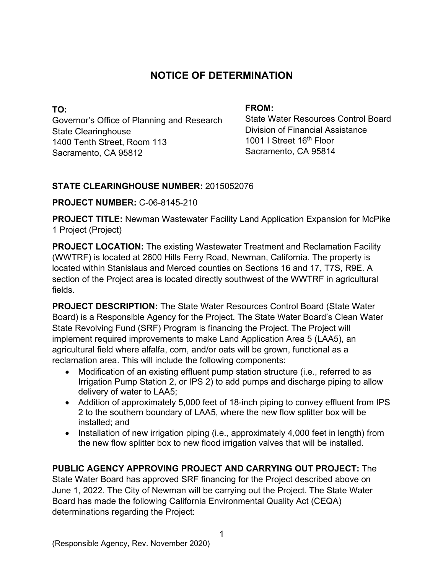## **NOTICE OF DETERMINATION**

**TO:**  Governor's Office of Planning and Research State Clearinghouse 1400 Tenth Street, Room 113 Sacramento, CA 95812

### **FROM:**

State Water Resources Control Board Division of Financial Assistance 1001 I Street 16<sup>th</sup> Floor Sacramento, CA 95814

### **STATE CLEARINGHOUSE NUMBER:** 2015052076

### **PROJECT NUMBER:** C-06-8145-210

**PROJECT TITLE:** Newman Wastewater Facility Land Application Expansion for McPike 1 Project (Project)

**PROJECT LOCATION:** The existing Wastewater Treatment and Reclamation Facility (WWTRF) is located at 2600 Hills Ferry Road, Newman, California. The property is located within Stanislaus and Merced counties on Sections 16 and 17, T7S, R9E. A section of the Project area is located directly southwest of the WWTRF in agricultural fields.

**PROJECT DESCRIPTION:** The State Water Resources Control Board (State Water Board) is a Responsible Agency for the Project. The State Water Board's Clean Water State Revolving Fund (SRF) Program is financing the Project. The Project will implement required improvements to make Land Application Area 5 (LAA5), an agricultural field where alfalfa, corn, and/or oats will be grown, functional as a reclamation area. This will include the following components:

- · Modification of an existing effluent pump station structure (i.e., referred to as Irrigation Pump Station 2, or IPS 2) to add pumps and discharge piping to allow delivery of water to LAA5;
- Addition of approximately 5,000 feet of 18-inch piping to convey effluent from IPS 2 to the southern boundary of LAA5, where the new flow splitter box will be installed; and
- · Installation of new irrigation piping (i.e., approximately 4,000 feet in length) from the new flow splitter box to new flood irrigation valves that will be installed.

# **PUBLIC AGENCY APPROVING PROJECT AND CARRYING OUT PROJECT:** The

State Water Board has approved SRF financing for the Project described above on June 1, 2022. The City of Newman will be carrying out the Project. The State Water Board has made the following California Environmental Quality Act (CEQA) determinations regarding the Project: